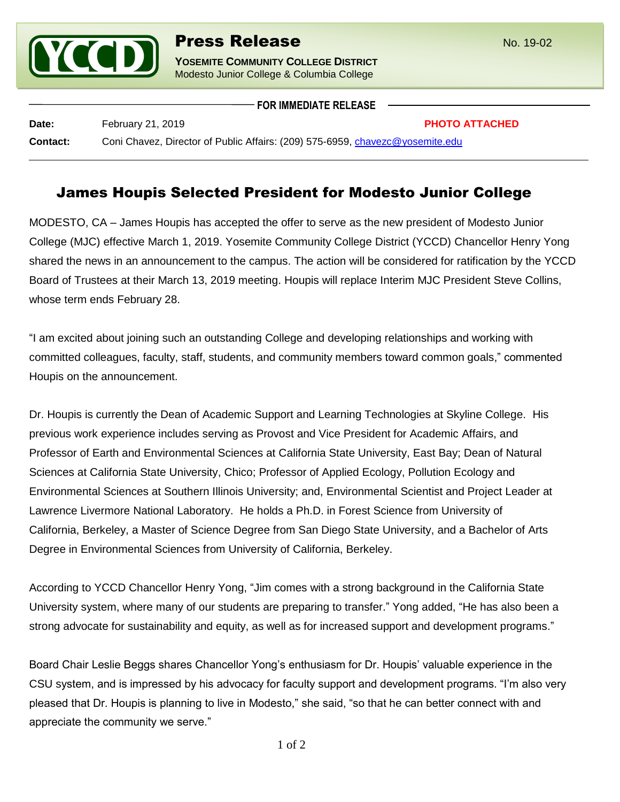

**FOR IMMEDIATE RELEASE**

**Date:** February 21, 2019 **PHOTO ATTACHED Contact:** Coni Chavez, Director of Public Affairs: (209) 575-6959, [chavezc@yosemite.edu](mailto:chavezc@yosemite.edu)

## James Houpis Selected President for Modesto Junior College

MODESTO, CA – James Houpis has accepted the offer to serve as the new president of Modesto Junior College (MJC) effective March 1, 2019. Yosemite Community College District (YCCD) Chancellor Henry Yong shared the news in an announcement to the campus. The action will be considered for ratification by the YCCD Board of Trustees at their March 13, 2019 meeting. Houpis will replace Interim MJC President Steve Collins, whose term ends February 28.

"I am excited about joining such an outstanding College and developing relationships and working with committed colleagues, faculty, staff, students, and community members toward common goals," commented Houpis on the announcement.

Dr. Houpis is currently the Dean of Academic Support and Learning Technologies at Skyline College. His previous work experience includes serving as Provost and Vice President for Academic Affairs, and Professor of Earth and Environmental Sciences at California State University, East Bay; Dean of Natural Sciences at California State University, Chico; Professor of Applied Ecology, Pollution Ecology and Environmental Sciences at Southern Illinois University; and, Environmental Scientist and Project Leader at Lawrence Livermore National Laboratory. He holds a Ph.D. in Forest Science from University of California, Berkeley, a Master of Science Degree from San Diego State University, and a Bachelor of Arts Degree in Environmental Sciences from University of California, Berkeley.

According to YCCD Chancellor Henry Yong, "Jim comes with a strong background in the California State University system, where many of our students are preparing to transfer." Yong added, "He has also been a strong advocate for sustainability and equity, as well as for increased support and development programs."

Board Chair Leslie Beggs shares Chancellor Yong's enthusiasm for Dr. Houpis' valuable experience in the CSU system, and is impressed by his advocacy for faculty support and development programs. "I'm also very pleased that Dr. Houpis is planning to live in Modesto," she said, "so that he can better connect with and appreciate the community we serve."